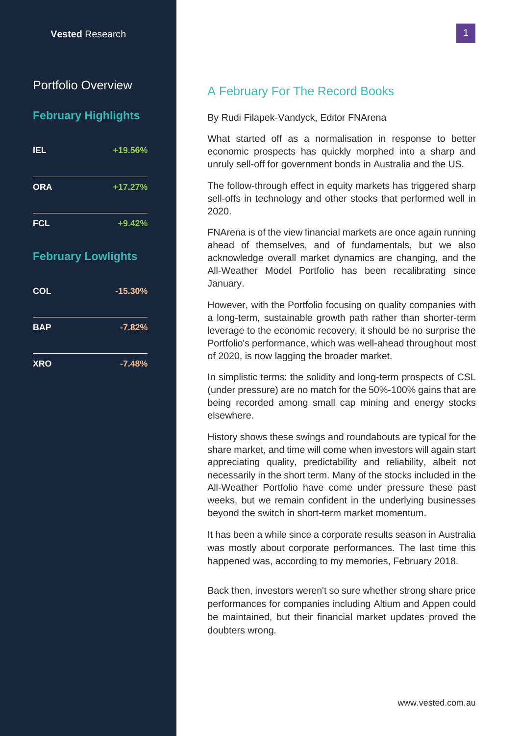## Portfolio Overview

### **February Highlights**

| <b>IEL</b> | +19.56%   |  |  |
|------------|-----------|--|--|
| <b>ORA</b> | $+17.27%$ |  |  |
| <b>FCL</b> | $+9.42%$  |  |  |

## **February Lowlights**

| <b>COL</b> | $-15.30%$ |  |  |
|------------|-----------|--|--|
| <b>BAP</b> | $-7.82%$  |  |  |
| <b>XRO</b> | $-7.48%$  |  |  |

# A February For The Record Books

### By Rudi Filapek-Vandyck, Editor FNArena

What started off as a normalisation in response to better economic prospects has quickly morphed into a sharp and unruly sell-off for government bonds in Australia and the US.

The follow-through effect in equity markets has triggered sharp sell-offs in technology and other stocks that performed well in 2020.

FNArena is of the view financial markets are once again running ahead of themselves, and of fundamentals, but we also acknowledge overall market dynamics are changing, and the All-Weather Model Portfolio has been recalibrating since January.

However, with the Portfolio focusing on quality companies with a long-term, sustainable growth path rather than shorter-term leverage to the economic recovery, it should be no surprise the Portfolio's performance, which was well-ahead throughout most of 2020, is now lagging the broader market.

In simplistic terms: the solidity and long-term prospects of CSL (under pressure) are no match for the 50%-100% gains that are being recorded among small cap mining and energy stocks elsewhere.

History shows these swings and roundabouts are typical for the share market, and time will come when investors will again start appreciating quality, predictability and reliability, albeit not necessarily in the short term. Many of the stocks included in the All-Weather Portfolio have come under pressure these past weeks, but we remain confident in the underlying businesses beyond the switch in short-term market momentum.

It has been a while since a corporate results season in Australia was mostly about corporate performances. The last time this happened was, according to my memories, February 2018.

Back then, investors weren't so sure whether strong share price performances for companies including Altium and Appen could be maintained, but their financial market updates proved the doubters wrong.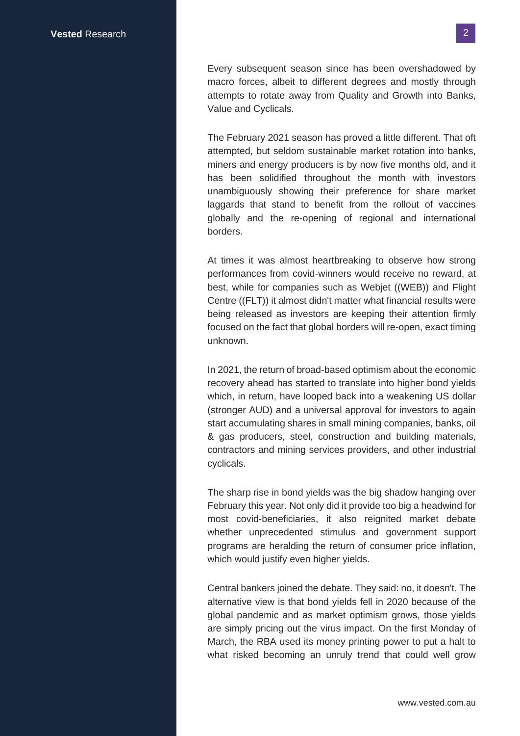Every subsequent season since has been overshadowed by macro forces, albeit to different degrees and mostly through attempts to rotate away from Quality and Growth into Banks, Value and Cyclicals.

The February 2021 season has proved a little different. That oft attempted, but seldom sustainable market rotation into banks, miners and energy producers is by now five months old, and it has been solidified throughout the month with investors unambiguously showing their preference for share market laggards that stand to benefit from the rollout of vaccines globally and the re-opening of regional and international borders.

At times it was almost heartbreaking to observe how strong performances from covid-winners would receive no reward, at best, while for companies such as Webjet ((WEB)) and Flight Centre ((FLT)) it almost didn't matter what financial results were being released as investors are keeping their attention firmly focused on the fact that global borders will re-open, exact timing unknown.

In 2021, the return of broad-based optimism about the economic recovery ahead has started to translate into higher bond yields which, in return, have looped back into a weakening US dollar (stronger AUD) and a universal approval for investors to again start accumulating shares in small mining companies, banks, oil & gas producers, steel, construction and building materials, contractors and mining services providers, and other industrial cyclicals.

The sharp rise in bond yields was the big shadow hanging over February this year. Not only did it provide too big a headwind for most covid-beneficiaries, it also reignited market debate whether unprecedented stimulus and government support programs are heralding the return of consumer price inflation, which would justify even higher yields.

Central bankers joined the debate. They said: no, it doesn't. The alternative view is that bond yields fell in 2020 because of the global pandemic and as market optimism grows, those yields are simply pricing out the virus impact. On the first Monday of March, the RBA used its money printing power to put a halt to what risked becoming an unruly trend that could well grow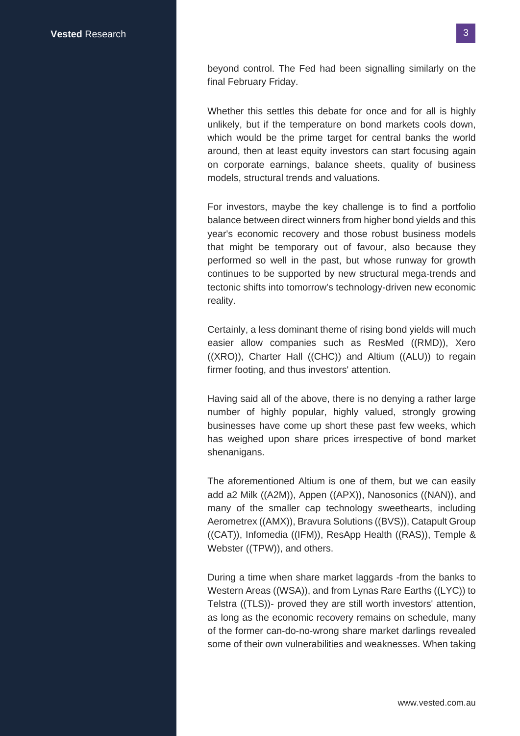beyond control. The Fed had been signalling similarly on the final February Friday.

Whether this settles this debate for once and for all is highly unlikely, but if the temperature on bond markets cools down, which would be the prime target for central banks the world around, then at least equity investors can start focusing again on corporate earnings, balance sheets, quality of business models, structural trends and valuations.

For investors, maybe the key challenge is to find a portfolio balance between direct winners from higher bond yields and this year's economic recovery and those robust business models that might be temporary out of favour, also because they performed so well in the past, but whose runway for growth continues to be supported by new structural mega-trends and tectonic shifts into tomorrow's technology-driven new economic reality.

Certainly, a less dominant theme of rising bond yields will much easier allow companies such as ResMed ((RMD)), Xero ((XRO)), Charter Hall ((CHC)) and Altium ((ALU)) to regain firmer footing, and thus investors' attention.

Having said all of the above, there is no denying a rather large number of highly popular, highly valued, strongly growing businesses have come up short these past few weeks, which has weighed upon share prices irrespective of bond market shenanigans.

The aforementioned Altium is one of them, but we can easily add a2 Milk ((A2M)), Appen ((APX)), Nanosonics ((NAN)), and many of the smaller cap technology sweethearts, including Aerometrex ((AMX)), Bravura Solutions ((BVS)), Catapult Group ((CAT)), Infomedia ((IFM)), ResApp Health ((RAS)), Temple & Webster ((TPW)), and others.

During a time when share market laggards -from the banks to Western Areas ((WSA)), and from Lynas Rare Earths ((LYC)) to Telstra ((TLS))- proved they are still worth investors' attention, as long as the economic recovery remains on schedule, many of the former can-do-no-wrong share market darlings revealed some of their own vulnerabilities and weaknesses. When taking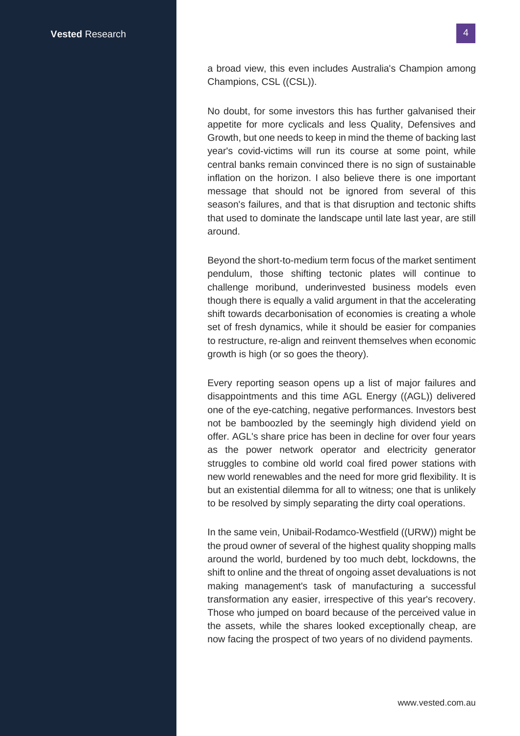a broad view, this even includes Australia's Champion among Champions, CSL ((CSL)).

No doubt, for some investors this has further galvanised their appetite for more cyclicals and less Quality, Defensives and Growth, but one needs to keep in mind the theme of backing last year's covid-victims will run its course at some point, while central banks remain convinced there is no sign of sustainable inflation on the horizon. I also believe there is one important message that should not be ignored from several of this season's failures, and that is that disruption and tectonic shifts that used to dominate the landscape until late last year, are still around.

Beyond the short-to-medium term focus of the market sentiment pendulum, those shifting tectonic plates will continue to challenge moribund, underinvested business models even though there is equally a valid argument in that the accelerating shift towards decarbonisation of economies is creating a whole set of fresh dynamics, while it should be easier for companies to restructure, re-align and reinvent themselves when economic growth is high (or so goes the theory).

Every reporting season opens up a list of major failures and disappointments and this time AGL Energy ((AGL)) delivered one of the eye-catching, negative performances. Investors best not be bamboozled by the seemingly high dividend yield on offer. AGL's share price has been in decline for over four years as the power network operator and electricity generator struggles to combine old world coal fired power stations with new world renewables and the need for more grid flexibility. It is but an existential dilemma for all to witness; one that is unlikely to be resolved by simply separating the dirty coal operations.

In the same vein, Unibail-Rodamco-Westfield ((URW)) might be the proud owner of several of the highest quality shopping malls around the world, burdened by too much debt, lockdowns, the shift to online and the threat of ongoing asset devaluations is not making management's task of manufacturing a successful transformation any easier, irrespective of this year's recovery. Those who jumped on board because of the perceived value in the assets, while the shares looked exceptionally cheap, are now facing the prospect of two years of no dividend payments.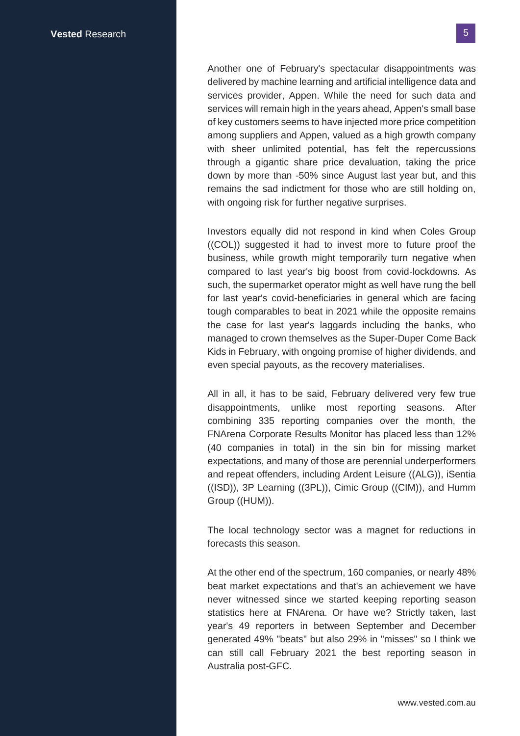Another one of February's spectacular disappointments was delivered by machine learning and artificial intelligence data and services provider, Appen. While the need for such data and services will remain high in the years ahead, Appen's small base of key customers seems to have injected more price competition among suppliers and Appen, valued as a high growth company with sheer unlimited potential, has felt the repercussions through a gigantic share price devaluation, taking the price down by more than -50% since August last year but, and this remains the sad indictment for those who are still holding on, with ongoing risk for further negative surprises.

Investors equally did not respond in kind when Coles Group ((COL)) suggested it had to invest more to future proof the business, while growth might temporarily turn negative when compared to last year's big boost from covid-lockdowns. As such, the supermarket operator might as well have rung the bell for last year's covid-beneficiaries in general which are facing tough comparables to beat in 2021 while the opposite remains the case for last year's laggards including the banks, who managed to crown themselves as the Super-Duper Come Back Kids in February, with ongoing promise of higher dividends, and even special payouts, as the recovery materialises.

All in all, it has to be said, February delivered very few true disappointments, unlike most reporting seasons. After combining 335 reporting companies over the month, the FNArena Corporate Results Monitor has placed less than 12% (40 companies in total) in the sin bin for missing market expectations, and many of those are perennial underperformers and repeat offenders, including Ardent Leisure ((ALG)), iSentia ((ISD)), 3P Learning ((3PL)), Cimic Group ((CIM)), and Humm Group ((HUM)).

The local technology sector was a magnet for reductions in forecasts this season.

At the other end of the spectrum, 160 companies, or nearly 48% beat market expectations and that's an achievement we have never witnessed since we started keeping reporting season statistics here at FNArena. Or have we? Strictly taken, last year's 49 reporters in between September and December generated 49% "beats" but also 29% in "misses" so I think we can still call February 2021 the best reporting season in Australia post-GFC.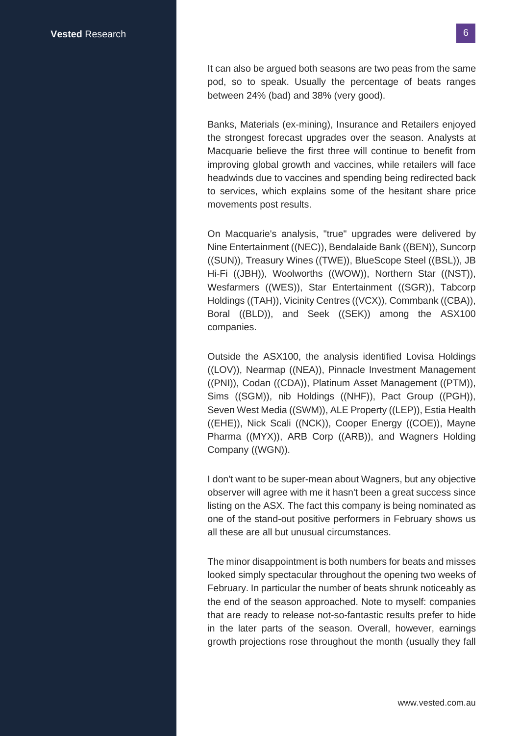It can also be argued both seasons are two peas from the same pod, so to speak. Usually the percentage of beats ranges between 24% (bad) and 38% (very good).

Banks, Materials (ex-mining), Insurance and Retailers enjoyed the strongest forecast upgrades over the season. Analysts at Macquarie believe the first three will continue to benefit from improving global growth and vaccines, while retailers will face headwinds due to vaccines and spending being redirected back to services, which explains some of the hesitant share price movements post results.

On Macquarie's analysis, "true" upgrades were delivered by Nine Entertainment ((NEC)), Bendalaide Bank ((BEN)), Suncorp ((SUN)), Treasury Wines ((TWE)), BlueScope Steel ((BSL)), JB Hi-Fi ((JBH)), Woolworths ((WOW)), Northern Star ((NST)), Wesfarmers ((WES)), Star Entertainment ((SGR)), Tabcorp Holdings ((TAH)), Vicinity Centres ((VCX)), Commbank ((CBA)), Boral ((BLD)), and Seek ((SEK)) among the ASX100 companies.

Outside the ASX100, the analysis identified Lovisa Holdings ((LOV)), Nearmap ((NEA)), Pinnacle Investment Management ((PNI)), Codan ((CDA)), Platinum Asset Management ((PTM)), Sims ((SGM)), nib Holdings ((NHF)), Pact Group ((PGH)), Seven West Media ((SWM)), ALE Property ((LEP)), Estia Health ((EHE)), Nick Scali ((NCK)), Cooper Energy ((COE)), Mayne Pharma ((MYX)), ARB Corp ((ARB)), and Wagners Holding Company ((WGN)).

I don't want to be super-mean about Wagners, but any objective observer will agree with me it hasn't been a great success since listing on the ASX. The fact this company is being nominated as one of the stand-out positive performers in February shows us all these are all but unusual circumstances.

The minor disappointment is both numbers for beats and misses looked simply spectacular throughout the opening two weeks of February. In particular the number of beats shrunk noticeably as the end of the season approached. Note to myself: companies that are ready to release not-so-fantastic results prefer to hide in the later parts of the season. Overall, however, earnings growth projections rose throughout the month (usually they fall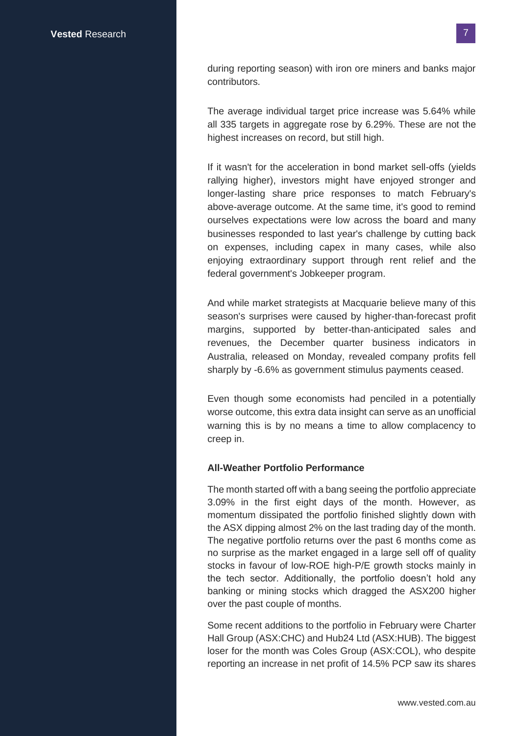during reporting season) with iron ore miners and banks major contributors.

The average individual target price increase was 5.64% while all 335 targets in aggregate rose by 6.29%. These are not the highest increases on record, but still high.

If it wasn't for the acceleration in bond market sell-offs (yields rallying higher), investors might have enjoyed stronger and longer-lasting share price responses to match February's above-average outcome. At the same time, it's good to remind ourselves expectations were low across the board and many businesses responded to last year's challenge by cutting back on expenses, including capex in many cases, while also enjoying extraordinary support through rent relief and the federal government's Jobkeeper program.

And while market strategists at Macquarie believe many of this season's surprises were caused by higher-than-forecast profit margins, supported by better-than-anticipated sales and revenues, the December quarter business indicators in Australia, released on Monday, revealed company profits fell sharply by -6.6% as government stimulus payments ceased.

Even though some economists had penciled in a potentially worse outcome, this extra data insight can serve as an unofficial warning this is by no means a time to allow complacency to creep in.

### **All-Weather Portfolio Performance**

The month started off with a bang seeing the portfolio appreciate 3.09% in the first eight days of the month. However, as momentum dissipated the portfolio finished slightly down with the ASX dipping almost 2% on the last trading day of the month. The negative portfolio returns over the past 6 months come as no surprise as the market engaged in a large sell off of quality stocks in favour of low-ROE high-P/E growth stocks mainly in the tech sector. Additionally, the portfolio doesn't hold any banking or mining stocks which dragged the ASX200 higher over the past couple of months.

Some recent additions to the portfolio in February were Charter Hall Group (ASX:CHC) and Hub24 Ltd (ASX:HUB). The biggest loser for the month was Coles Group (ASX:COL), who despite reporting an increase in net profit of 14.5% PCP saw its shares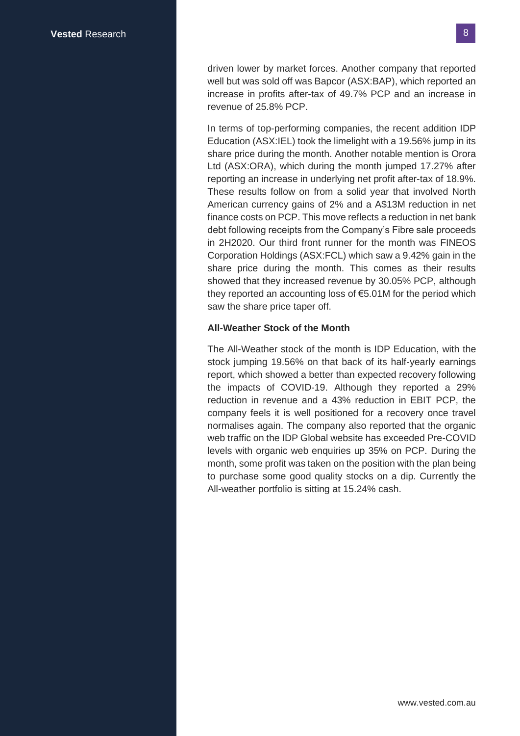driven lower by market forces. Another company that reported well but was sold off was Bapcor (ASX:BAP), which reported an increase in profits after-tax of 49.7% PCP and an increase in revenue of 25.8% PCP.

In terms of top-performing companies, the recent addition IDP Education (ASX:IEL) took the limelight with a 19.56% jump in its share price during the month. Another notable mention is Orora Ltd (ASX:ORA), which during the month jumped 17.27% after reporting an increase in underlying net profit after-tax of 18.9%. These results follow on from a solid year that involved North American currency gains of 2% and a A\$13M reduction in net finance costs on PCP. This move reflects a reduction in net bank debt following receipts from the Company's Fibre sale proceeds in 2H2020. Our third front runner for the month was FINEOS Corporation Holdings (ASX:FCL) which saw a 9.42% gain in the share price during the month. This comes as their results showed that they increased revenue by 30.05% PCP, although they reported an accounting loss of €5.01M for the period which saw the share price taper off.

### **All-Weather Stock of the Month**

The All-Weather stock of the month is IDP Education, with the stock jumping 19.56% on that back of its half-yearly earnings report, which showed a better than expected recovery following the impacts of COVID-19. Although they reported a 29% reduction in revenue and a 43% reduction in EBIT PCP, the company feels it is well positioned for a recovery once travel normalises again. The company also reported that the organic web traffic on the IDP Global website has exceeded Pre-COVID levels with organic web enquiries up 35% on PCP. During the month, some profit was taken on the position with the plan being to purchase some good quality stocks on a dip. Currently the All-weather portfolio is sitting at 15.24% cash.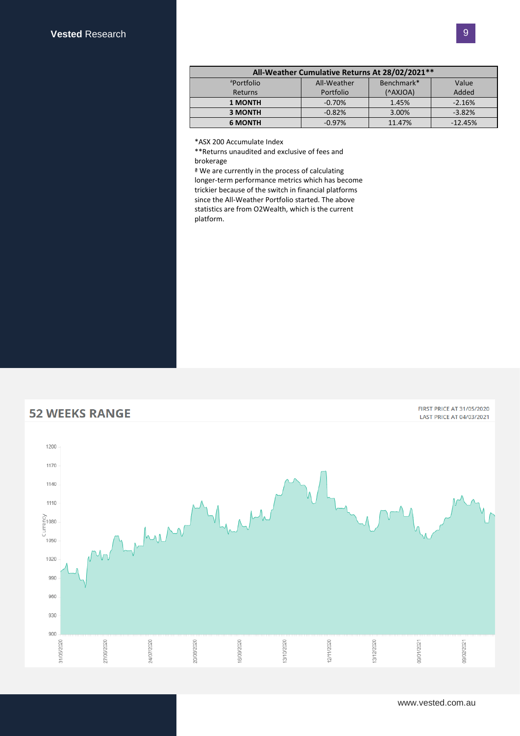| All-Weather Cumulative Returns At 28/02/2021** |             |            |           |  |
|------------------------------------------------|-------------|------------|-----------|--|
| <sup>a</sup> Portfolio                         | All-Weather | Benchmark* | Value     |  |
| Returns                                        | Portfolio   | (^AXJOA)   | Added     |  |
| <b>1 MONTH</b>                                 | $-0.70%$    | 1.45%      | $-2.16%$  |  |
| <b>3 MONTH</b>                                 | $-0.82%$    | 3.00%      | $-3.82%$  |  |
| <b>6 MONTH</b>                                 | $-0.97%$    | 11.47%     | $-12.45%$ |  |

\*ASX 200 Accumulate Index

\*\*Returns unaudited and exclusive of fees and brokerage

ª We are currently in the process of calculating longer-term performance metrics which has become trickier because of the switch in financial platforms since the All-Weather Portfolio started. The above statistics are from O2Wealth, which is the current platform.